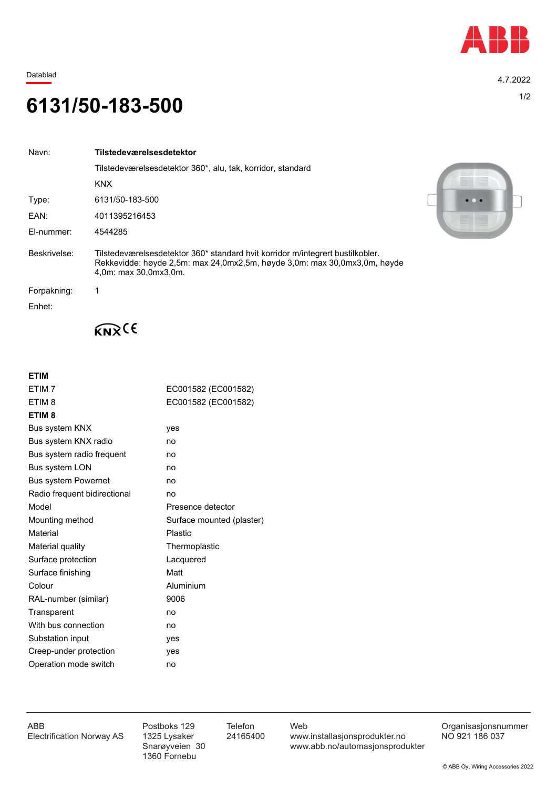

Datablad 4.7.2022

## 1/2 **6131/50-183-500**

| Navn:        | Tilstedeværelsesdetektor                                                                                                                                                             |  |  |
|--------------|--------------------------------------------------------------------------------------------------------------------------------------------------------------------------------------|--|--|
|              | Tilstedeværelsesdetektor 360*, alu, tak, korridor, standard                                                                                                                          |  |  |
|              | <b>KNX</b>                                                                                                                                                                           |  |  |
| Type:        | 6131/50-183-500                                                                                                                                                                      |  |  |
| EAN:         | 4011395216453                                                                                                                                                                        |  |  |
| El-nummer:   | 4544285                                                                                                                                                                              |  |  |
| Beskrivelse: | Tilstedeværelsesdetektor 360* standard hvit korridor m/integrert bustilkobler.<br>Rekkevidde: høyde 2,5m: max 24,0mx2,5m, høyde 3,0m: max 30,0mx3,0m, høyde<br>4,0m: max 30,0mx3,0m. |  |  |
| Forpakning:  |                                                                                                                                                                                      |  |  |
| Enhet:       |                                                                                                                                                                                      |  |  |



 $K_{\mathbf{N}}(6)$ 

## **ETIM**

| ETIM <sub>7</sub>            | EC001582 (EC001582)       |  |
|------------------------------|---------------------------|--|
| ETIM <sub>8</sub>            | EC001582 (EC001582)       |  |
| ETIM <sub>8</sub>            |                           |  |
| Bus system KNX               | yes                       |  |
| Bus system KNX radio         | no                        |  |
| Bus system radio frequent    | no                        |  |
| <b>Bus system LON</b>        | no                        |  |
| <b>Bus system Powernet</b>   | no                        |  |
| Radio frequent bidirectional | no                        |  |
| Model                        | Presence detector         |  |
| Mounting method              | Surface mounted (plaster) |  |
| Material                     | <b>Plastic</b>            |  |
| Material quality             | Thermoplastic             |  |
| Surface protection           | Lacquered                 |  |
| Surface finishing            | Matt                      |  |
| Colour                       | Aluminium                 |  |
| RAL-number (similar)         | 9006                      |  |
| Transparent                  | no                        |  |
| With bus connection          | no                        |  |
| Substation input             | yes                       |  |
| Creep-under protection       | yes                       |  |
| Operation mode switch        | no                        |  |

1360 Fornebu

ABB Postboks 129 Telefon Web Postboks 129 Telefon Web Crganisasjonsnummer<br>Electrification Norway AS 1325 Lysaker 24165400 www.installasjonsprodukter.no NO 921 186 037 1325 Lysaker 24165400 www.installasjonsprodukter.no<br>Snarøyveien 30 www.abb.no/automasjonsprodu www.abb.no/automasjonsprodukter